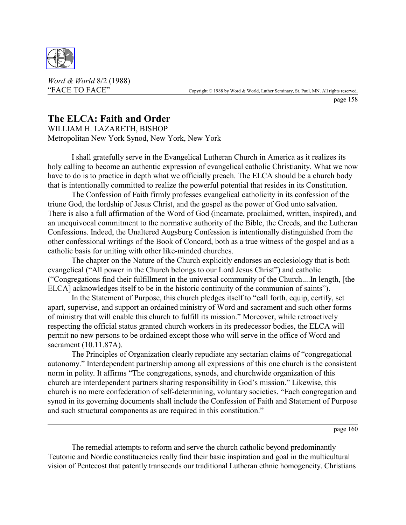

*Word & World* 8/2 (1988)

page 158

## **The ELCA: Faith and Order**

WILLIAM H. LAZARETH, BISHOP Metropolitan New York Synod, New York, New York

I shall gratefully serve in the Evangelical Lutheran Church in America as it realizes its holy calling to become an authentic expression of evangelical catholic Christianity. What we now have to do is to practice in depth what we officially preach. The ELCA should be a church body that is intentionally committed to realize the powerful potential that resides in its Constitution.

The Confession of Faith firmly professes evangelical catholicity in its confession of the triune God, the lordship of Jesus Christ, and the gospel as the power of God unto salvation. There is also a full affirmation of the Word of God (incarnate, proclaimed, written, inspired), and an unequivocal commitment to the normative authority of the Bible, the Creeds, and the Lutheran Confessions. Indeed, the Unaltered Augsburg Confession is intentionally distinguished from the other confessional writings of the Book of Concord, both as a true witness of the gospel and as a catholic basis for uniting with other like-minded churches.

The chapter on the Nature of the Church explicitly endorses an ecclesiology that is both evangelical ("All power in the Church belongs to our Lord Jesus Christ") and catholic ("Congregations find their fulfillment in the universal community of the Church....In length, [the ELCA] acknowledges itself to be in the historic continuity of the communion of saints").

In the Statement of Purpose, this church pledges itself to "call forth, equip, certify, set apart, supervise, and support an ordained ministry of Word and sacrament and such other forms of ministry that will enable this church to fulfill its mission." Moreover, while retroactively respecting the official status granted church workers in its predecessor bodies, the ELCA will permit no new persons to be ordained except those who will serve in the office of Word and sacrament (10.11.87A).

The Principles of Organization clearly repudiate any sectarian claims of "congregational autonomy." Interdependent partnership among all expressions of this one church is the consistent norm in polity. It affirms "The congregations, synods, and churchwide organization of this church are interdependent partners sharing responsibility in God's mission." Likewise, this church is no mere confederation of self-determining, voluntary societies. "Each congregation and synod in its governing documents shall include the Confession of Faith and Statement of Purpose and such structural components as are required in this constitution."

page 160

The remedial attempts to reform and serve the church catholic beyond predominantly Teutonic and Nordic constituencies really find their basic inspiration and goal in the multicultural vision of Pentecost that patently transcends our traditional Lutheran ethnic homogeneity. Christians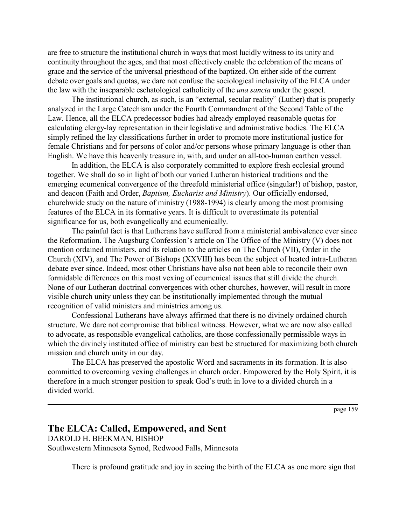are free to structure the institutional church in ways that most lucidly witness to its unity and continuity throughout the ages, and that most effectively enable the celebration of the means of grace and the service of the universal priesthood of the baptized. On either side of the current debate over goals and quotas, we dare not confuse the sociological inclusivity of the ELCA under the law with the inseparable eschatological catholicity of the *una sancta* under the gospel.

The institutional church, as such, is an "external, secular reality" (Luther) that is properly analyzed in the Large Catechism under the Fourth Commandment of the Second Table of the Law. Hence, all the ELCA predecessor bodies had already employed reasonable quotas for calculating clergy-lay representation in their legislative and administrative bodies. The ELCA simply refined the lay classifications further in order to promote more institutional justice for female Christians and for persons of color and/or persons whose primary language is other than English. We have this heavenly treasure in, with, and under an all-too-human earthen vessel.

In addition, the ELCA is also corporately committed to explore fresh ecclesial ground together. We shall do so in light of both our varied Lutheran historical traditions and the emerging ecumenical convergence of the threefold ministerial office (singular!) of bishop, pastor, and deacon (Faith and Order, *Baptism, Eucharist and Ministry*). Our officially endorsed, churchwide study on the nature of ministry (1988-1994) is clearly among the most promising features of the ELCA in its formative years. It is difficult to overestimate its potential significance for us, both evangelically and ecumenically.

The painful fact is that Lutherans have suffered from a ministerial ambivalence ever since the Reformation. The Augsburg Confession's article on The Office of the Ministry (V) does not mention ordained ministers, and its relation to the articles on The Church (VII), Order in the Church (XIV), and The Power of Bishops (XXVIII) has been the subject of heated intra-Lutheran debate ever since. Indeed, most other Christians have also not been able to reconcile their own formidable differences on this most vexing of ecumenical issues that still divide the church. None of our Lutheran doctrinal convergences with other churches, however, will result in more visible church unity unless they can be institutionally implemented through the mutual recognition of valid ministers and ministries among us.

Confessional Lutherans have always affirmed that there is no divinely ordained church structure. We dare not compromise that biblical witness. However, what we are now also called to advocate, as responsible evangelical catholics, are those confessionally permissible ways in which the divinely instituted office of ministry can best be structured for maximizing both church mission and church unity in our day.

The ELCA has preserved the apostolic Word and sacraments in its formation. It is also committed to overcoming vexing challenges in church order. Empowered by the Holy Spirit, it is therefore in a much stronger position to speak God's truth in love to a divided church in a divided world.

page 159

## **The ELCA: Called, Empowered, and Sent** DAROLD H. BEEKMAN, BISHOP

Southwestern Minnesota Synod, Redwood Falls, Minnesota

There is profound gratitude and joy in seeing the birth of the ELCA as one more sign that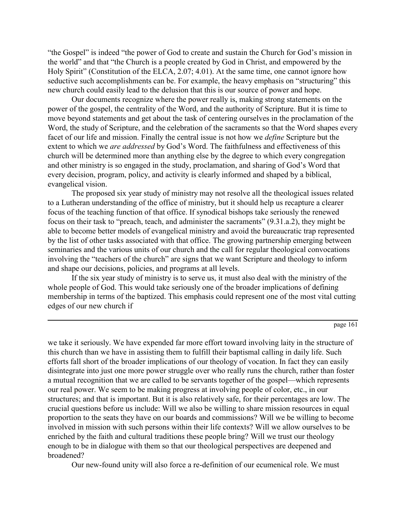"the Gospel" is indeed "the power of God to create and sustain the Church for God's mission in the world" and that "the Church is a people created by God in Christ, and empowered by the Holy Spirit" (Constitution of the ELCA, 2.07; 4.01). At the same time, one cannot ignore how seductive such accomplishments can be. For example, the heavy emphasis on "structuring" this new church could easily lead to the delusion that this is our source of power and hope.

Our documents recognize where the power really is, making strong statements on the power of the gospel, the centrality of the Word, and the authority of Scripture. But it is time to move beyond statements and get about the task of centering ourselves in the proclamation of the Word, the study of Scripture, and the celebration of the sacraments so that the Word shapes every facet of our life and mission. Finally the central issue is not how we *define* Scripture but the extent to which we *are addressed* by God's Word. The faithfulness and effectiveness of this church will be determined more than anything else by the degree to which every congregation and other ministry is so engaged in the study, proclamation, and sharing of God's Word that every decision, program, policy, and activity is clearly informed and shaped by a biblical, evangelical vision.

The proposed six year study of ministry may not resolve all the theological issues related to a Lutheran understanding of the office of ministry, but it should help us recapture a clearer focus of the teaching function of that office. If synodical bishops take seriously the renewed focus on their task to "preach, teach, and administer the sacraments" (9.31.a.2), they might be able to become better models of evangelical ministry and avoid the bureaucratic trap represented by the list of other tasks associated with that office. The growing partnership emerging between seminaries and the various units of our church and the call for regular theological convocations involving the "teachers of the church" are signs that we want Scripture and theology to inform and shape our decisions, policies, and programs at all levels.

If the six year study of ministry is to serve us, it must also deal with the ministry of the whole people of God. This would take seriously one of the broader implications of defining membership in terms of the baptized. This emphasis could represent one of the most vital cutting edges of our new church if

page 161

we take it seriously. We have expended far more effort toward involving laity in the structure of this church than we have in assisting them to fulfill their baptismal calling in daily life. Such efforts fall short of the broader implications of our theology of vocation. In fact they can easily disintegrate into just one more power struggle over who really runs the church, rather than foster a mutual recognition that we are called to be servants together of the gospel—which represents our real power. We seem to be making progress at involving people of color, etc., in our structures; and that is important. But it is also relatively safe, for their percentages are low. The crucial questions before us include: Will we also be willing to share mission resources in equal proportion to the seats they have on our boards and commissions? Will we be willing to become involved in mission with such persons within their life contexts? Will we allow ourselves to be enriched by the faith and cultural traditions these people bring? Will we trust our theology enough to be in dialogue with them so that our theological perspectives are deepened and broadened?

Our new-found unity will also force a re-definition of our ecumenical role. We must